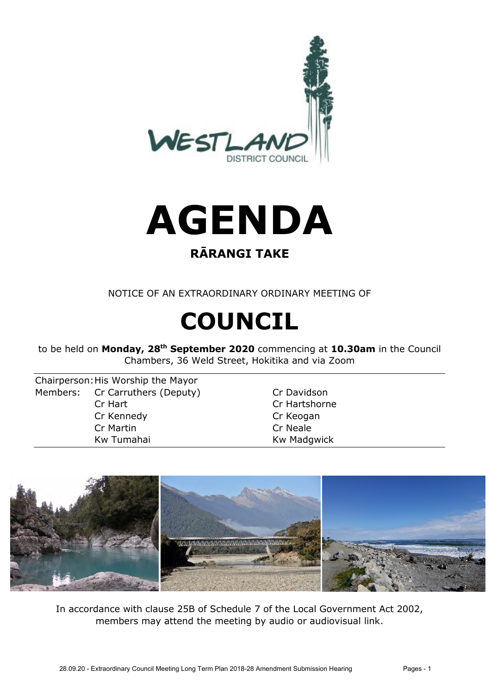

# **AGENDA**

#### **RĀRANGI TAKE**

NOTICE OF AN EXTRAORDINARY ORDINARY MEETING OF

# **COUNCIL**

to be held on **Monday, 28th September 2020** commencing at **10.30am** in the Council Chambers, 36 Weld Street, Hokitika and via Zoom

Chairperson: His Worship the Mayor Members: Cr Carruthers (Deputy) Cr Davidson Cr Hart Cr Hartshorne Cr Kennedy Cr Keogan Cr Martin Cr Neale Kw Tumahai **Kw Madgwick** 



In accordance with clause 25B of Schedule 7 of the Local Government Act 2002, members may attend the meeting by audio or audiovisual link.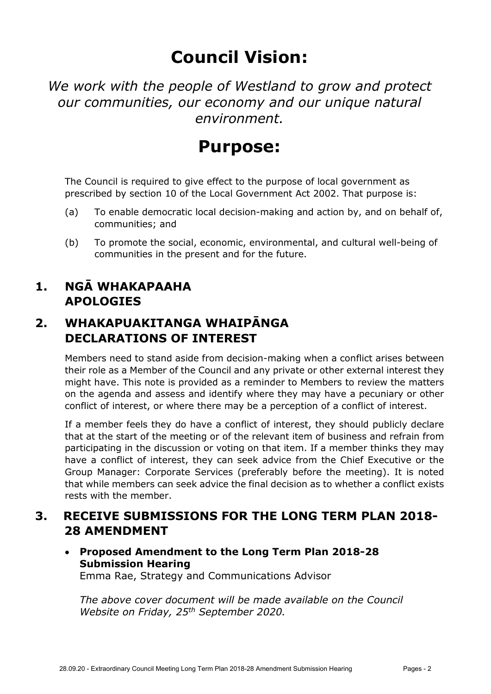## **Council Vision:**

*We work with the people of Westland to grow and protect our communities, our economy and our unique natural environment.* 

### **Purpose:**

The Council is required to give effect to the purpose of local government as prescribed by section 10 of the Local Government Act 2002. That purpose is:

- (a) To enable democratic local decision-making and action by, and on behalf of, communities; and
- (b) To promote the social, economic, environmental, and cultural well-being of communities in the present and for the future.

#### **1. NGĀ WHAKAPAAHA APOLOGIES**

#### **2. WHAKAPUAKITANGA WHAIPĀNGA DECLARATIONS OF INTEREST**

Members need to stand aside from decision-making when a conflict arises between their role as a Member of the Council and any private or other external interest they might have. This note is provided as a reminder to Members to review the matters on the agenda and assess and identify where they may have a pecuniary or other conflict of interest, or where there may be a perception of a conflict of interest.

If a member feels they do have a conflict of interest, they should publicly declare that at the start of the meeting or of the relevant item of business and refrain from participating in the discussion or voting on that item. If a member thinks they may have a conflict of interest, they can seek advice from the Chief Executive or the Group Manager: Corporate Services (preferably before the meeting). It is noted that while members can seek advice the final decision as to whether a conflict exists rests with the member.

#### **3. RECEIVE SUBMISSIONS FOR THE LONG TERM PLAN 2018- 28 AMENDMENT**

 **Proposed Amendment to the Long Term Plan 2018-28 Submission Hearing**  Emma Rae, Strategy and Communications Advisor

*The above cover document will be made available on the Council Website on Friday, 25th September 2020.*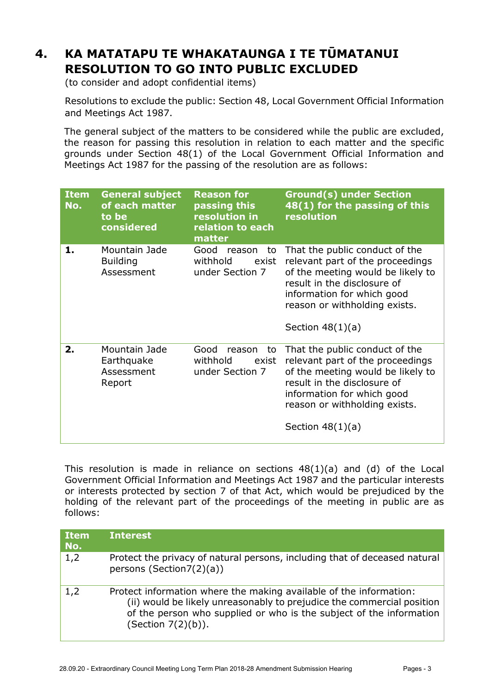#### **4. KA MATATAPU TE WHAKATAUNGA I TE TŪMATANUI RESOLUTION TO GO INTO PUBLIC EXCLUDED**

(to consider and adopt confidential items)

Resolutions to exclude the public: Section 48, Local Government Official Information and Meetings Act 1987.

The general subject of the matters to be considered while the public are excluded, the reason for passing this resolution in relation to each matter and the specific grounds under Section 48(1) of the Local Government Official Information and Meetings Act 1987 for the passing of the resolution are as follows:

| <b>Item</b><br>No. | <b>General subject</b><br>of each matter<br>to be<br>considered | <b>Reason for</b><br>passing this<br>resolution in<br>relation to each<br>matter | <b>Ground(s) under Section</b><br>48(1) for the passing of this<br>resolution                                                                                                                                               |
|--------------------|-----------------------------------------------------------------|----------------------------------------------------------------------------------|-----------------------------------------------------------------------------------------------------------------------------------------------------------------------------------------------------------------------------|
| 1.                 | Mountain Jade<br><b>Building</b><br>Assessment                  | Good<br>reason<br>to<br>withhold<br>exist<br>under Section 7                     | That the public conduct of the<br>relevant part of the proceedings<br>of the meeting would be likely to<br>result in the disclosure of<br>information for which good<br>reason or withholding exists.<br>Section $48(1)(a)$ |
| 2.                 | Mountain Jade<br>Earthquake<br>Assessment<br>Report             | Good<br>reason<br>to<br>withhold<br>exist<br>under Section 7                     | That the public conduct of the<br>relevant part of the proceedings<br>of the meeting would be likely to<br>result in the disclosure of<br>information for which good<br>reason or withholding exists.<br>Section $48(1)(a)$ |

This resolution is made in reliance on sections 48(1)(a) and (d) of the Local Government Official Information and Meetings Act 1987 and the particular interests or interests protected by section 7 of that Act, which would be prejudiced by the holding of the relevant part of the proceedings of the meeting in public are as follows:

| <b>Item</b><br>No. | <b>Interest</b>                                                                                                                                                                                                                              |
|--------------------|----------------------------------------------------------------------------------------------------------------------------------------------------------------------------------------------------------------------------------------------|
| 1,2                | Protect the privacy of natural persons, including that of deceased natural<br>persons (Section7(2)(a))                                                                                                                                       |
| 1,2                | Protect information where the making available of the information:<br>(ii) would be likely unreasonably to prejudice the commercial position<br>of the person who supplied or who is the subject of the information<br>(Section $7(2)(b)$ ). |